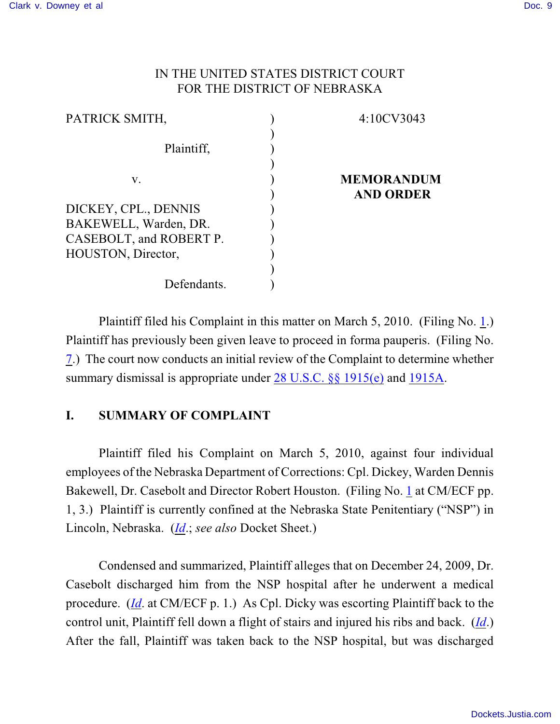## IN THE UNITED STATES DISTRICT COURT FOR THE DISTRICT OF NEBRASKA

| 4:10CV3043        |
|-------------------|
|                   |
|                   |
| <b>MEMORANDUM</b> |
| <b>AND ORDER</b>  |
|                   |
|                   |
|                   |
|                   |
|                   |
|                   |
|                   |

Plaintiff filed his Complaint in this matter on March 5, 2010. (Filing No. [1](http://ecf.ned.uscourts.gov/doc1/11301967428).) Plaintiff has previously been given leave to proceed in forma pauperis. (Filing No. [7](http://ecf.ned.uscourts.gov/doc1/11301980725).) The court now conducts an initial review of the Complaint to determine whether summary dismissal is appropriate under [28 U.S.C. §§ 1915\(e\)](http://www.westlaw.com/find/default.wl?rs=CLWP3.0&vr=2.0&cite=28+USCA+ss+1915%28e%29) and [1915A](http://web2.westlaw.com/find/default.wl?rs=CLWP3.0&vr=2.0&cite=28+USCA+s+1915A&ssl=n).

## **I. SUMMARY OF COMPLAINT**

Plaintiff filed his Complaint on March 5, 2010, against four individual employees of the Nebraska Department of Corrections: Cpl. Dickey, Warden Dennis Bakewell, Dr. Casebolt and Director Robert Houston. (Filing No. [1](http://ecf.ned.uscourts.gov/doc1/11301967428) at CM/ECF pp. 1, 3.) Plaintiff is currently confined at the Nebraska State Penitentiary ("NSP") in Lincoln, Nebraska. (*[Id](https://ecf.ned.uscourts.gov/doc1/11301967428)*.; *see also* Docket Sheet.)

Condensed and summarized, Plaintiff alleges that on December 24, 2009, Dr. Casebolt discharged him from the NSP hospital after he underwent a medical procedure. (*[Id](https://ecf.ned.uscourts.gov/doc1/11301967428)*. at CM/ECF p. 1.) As Cpl. Dicky was escorting Plaintiff back to the control unit, Plaintiff fell down a flight of stairs and injured his ribs and back. (*[Id](https://ecf.ned.uscourts.gov/doc1/11301967428)*.) After the fall, Plaintiff was taken back to the NSP hospital, but was discharged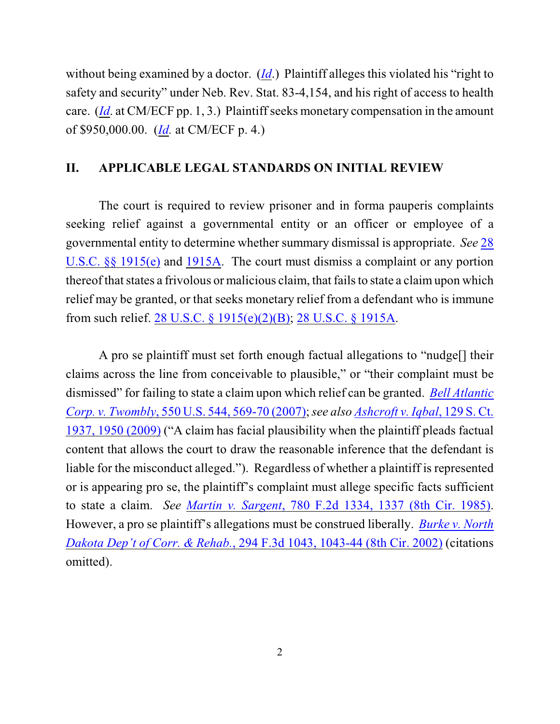without being examined by a doctor. (*[Id](https://ecf.ned.uscourts.gov/doc1/11301967428)*.) Plaintiff alleges this violated his "right to safety and security" under Neb. Rev. Stat. 83-4,154, and his right of access to health care. (*[Id](https://ecf.ned.uscourts.gov/doc1/11301967428)*. at CM/ECF pp. 1, 3.) Plaintiff seeks monetary compensation in the amount of \$950,000.00. (*[Id](https://ecf.ned.uscourts.gov/doc1/11301967428).* at CM/ECF p. 4.)

## **II. APPLICABLE LEGAL STANDARDS ON INITIAL REVIEW**

The court is required to review prisoner and in forma pauperis complaints seeking relief against a governmental entity or an officer or employee of a governmental entity to determine whether summary dismissal is appropriate. *See* [28](http://www.westlaw.com/find/default.wl?rs=CLWP3.0&vr=2.0&cite=28+USCA+ss+1915%28e%29) [U.S.C. §§ 1915\(e\)](http://www.westlaw.com/find/default.wl?rs=CLWP3.0&vr=2.0&cite=28+USCA+ss+1915%28e%29) and [1915A](http://web2.westlaw.com/find/default.wl?fn=_top&rs=WLW8.04&rp=%2ffind%2fdefault.wl&vr=2.0&cite=28+USC+section+1915A). The court must dismiss a complaint or any portion thereof that states a frivolous or malicious claim, that fails to state a claimupon which relief may be granted, or that seeks monetary relief from a defendant who is immune from such relief. [28 U.S.C. § 1915\(e\)\(2\)\(B\)](http://www.westlaw.com/find/default.wl?rs=CLWP3.0&vr=2.0&cite=28+USCA+s+1915%28e%29%282%29%28B%29); [28 U.S.C. § 1915A](http://www.westlaw.com/find/default.wl?rs=CLWP3.0&vr=2.0&cite=28+USCA+s+1915A).

A pro se plaintiff must set forth enough factual allegations to "nudge[] their claims across the line from conceivable to plausible," or "their complaint must be dismissed" for failing to state a claim upon which relief can be granted. *[Bell Atlantic](http://www.westlaw.com/find/default.wl?rs=CLWP3.0&vr=2.0&cite=550+U.S.+544) Corp. v. Twombly*[, 550 U.S. 544, 569-70 \(2007\)](http://www.westlaw.com/find/default.wl?rs=CLWP3.0&vr=2.0&cite=550+U.S.+544);*see also [Ashcroft v. Iqbal](http://www.westlaw.com/find/default.wl?rs=CLWP3.0&vr=2.0&cite=129+S.Ct.+1937)*, 129 S. Ct. [1937, 1950 \(2009\)](http://www.westlaw.com/find/default.wl?rs=CLWP3.0&vr=2.0&cite=129+S.Ct.+1937) ("A claim has facial plausibility when the plaintiff pleads factual content that allows the court to draw the reasonable inference that the defendant is liable for the misconduct alleged."). Regardless of whether a plaintiff is represented or is appearing pro se, the plaintiff's complaint must allege specific facts sufficient to state a claim. *See Martin v. Sargent*, 780 [F.2d 1334, 1337 \(8th Cir. 1985\)](http://www.westlaw.com/find/default.wl?rs=CLWP3.0&vr=2.0&cite=780+F.2d+1334). However, a pro se plaintiff's allegations must be construed liberally. *[Burke v. North](http://www.westlaw.com/find/default.wl?rs=CLWP3.0&vr=2.0&cite=294+F.3d+1043) [Dakota Dep't of Corr. & Rehab.](http://www.westlaw.com/find/default.wl?rs=CLWP3.0&vr=2.0&cite=294+F.3d+1043)*, 294 F.3d 1043, 1043-44 (8th Cir. 2002) (citations omitted).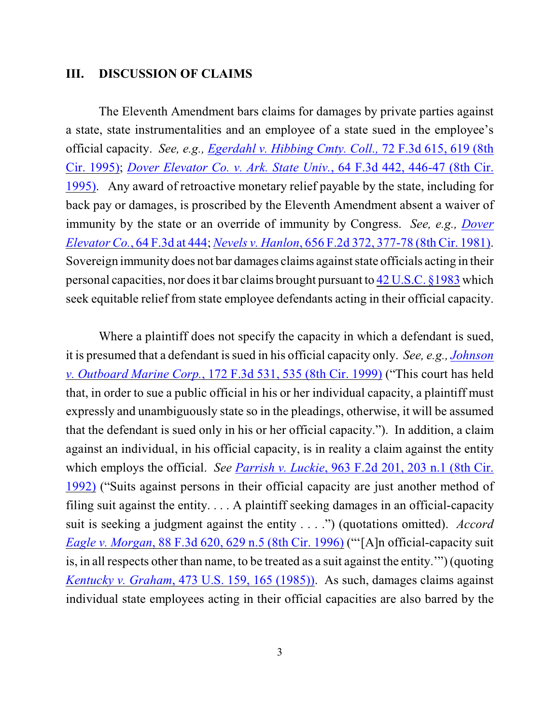#### **III. DISCUSSION OF CLAIMS**

The Eleventh Amendment bars claims for damages by private parties against a state, state instrumentalities and an employee of a state sued in the employee's official capacity. *See, e.g., [Egerdahl v. Hibbing Cmty. Coll.,](http://www.westlaw.com/find/default.wl?rs=CLWP3.0&vr=2.0&cite=72+F.3d+615)* 72 F.3d 615, 619 (8th [Cir. 1995\)](http://www.westlaw.com/find/default.wl?rs=CLWP3.0&vr=2.0&cite=72+F.3d+615); *[Dover Elevator Co. v. Ark. State Univ.](http://www.westlaw.com/find/default.wl?rs=CLWP3.0&vr=2.0&cite=64+F.3d+442)*, 64 F.3d 442, 446-47 (8th Cir. [1995\)](http://www.westlaw.com/find/default.wl?rs=CLWP3.0&vr=2.0&cite=64+F.3d+442). Any award of retroactive monetary relief payable by the state, including for back pay or damages, is proscribed by the Eleventh Amendment absent a waiver of immunity by the state or an override of immunity by Congress. *See, e.g., [Dover](http://www.westlaw.com/find/default.wl?rs=CLWP3.0&vr=2.0&cite=64+F.3d+444) Elevator Co.*, [64 F.3d at 444](http://www.westlaw.com/find/default.wl?rs=CLWP3.0&vr=2.0&cite=64+F.3d+444); *Nevels v. Hanlon*, 656 F.2d 372, [377-78 \(8th Cir. 1981\)](http://www.westlaw.com/find/default.wl?rs=CLWP3.0&vr=2.0&cite=656+F.2d+372). Sovereign immunity does not bar damages claims against state officials acting in their personal capacities, nor does it bar claims brought pursuant to [42 U.S.C. §1983](http://www.westlaw.com/find/default.wl?rs=CLWP3.0&vr=2.0&cite=42+USCA+s1983) which seek equitable relief from state employee defendants acting in their official capacity.

Where a plaintiff does not specify the capacity in which a defendant is sued, it is presumed that a defendant is sued in his official capacity only. *See, e.g., [Johnson](http://www.westlaw.com/find/default.wl?rs=CLWP3.0&vr=2.0&cite=172+F.3d+531) [v. Outboard Marine Corp.](http://www.westlaw.com/find/default.wl?rs=CLWP3.0&vr=2.0&cite=172+F.3d+531)*, 172 F.3d 531, 535 (8th Cir. 1999) ("This court has held that, in order to sue a public official in his or her individual capacity, a plaintiff must expressly and unambiguously state so in the pleadings, otherwise, it will be assumed that the defendant is sued only in his or her official capacity."). In addition, a claim against an individual, in his official capacity, is in reality a claim against the entity which employs the official. *See Parrish v. Luckie*, 963 F.2d [201, 203 n.1 \(8th Cir.](http://www.westlaw.com/find/default.wl?rs=CLWP3.0&vr=2.0&cite=963+F.2d+201) [1992\)](http://www.westlaw.com/find/default.wl?rs=CLWP3.0&vr=2.0&cite=963+F.2d+201) ("Suits against persons in their official capacity are just another method of filing suit against the entity. . . . A plaintiff seeking damages in an official-capacity suit is seeking a judgment against the entity . . . .") (quotations omitted). *Accord Eagle v. Morgan*, 88 F.3d 620, [629 n.5 \(8th Cir. 1996\)](http://www.westlaw.com/find/default.wl?rs=CLWP3.0&vr=2.0&cite=88+F.3d+620) ("'[A]n official-capacity suit is, in all respects other than name, to be treated as a suit against the entity.'") (quoting *Kentucky v. Graham*[, 473 U.S. 159, 165 \(1985\)\)](http://web2.westlaw.com/find/default.wl?tf=-1&rs=WLW8.05&referencepositiontype=S&serialnum=1985133039&fn=_top&findtype=Y&tc=-1&referenceposition=3105&db=708&vr=2.0&rp=%2ffind%2fdefault.wl&RLT=CLID_FQRLT6212136&TF=756&TC=1&n=1). As such, damages claims against individual state employees acting in their official capacities are also barred by the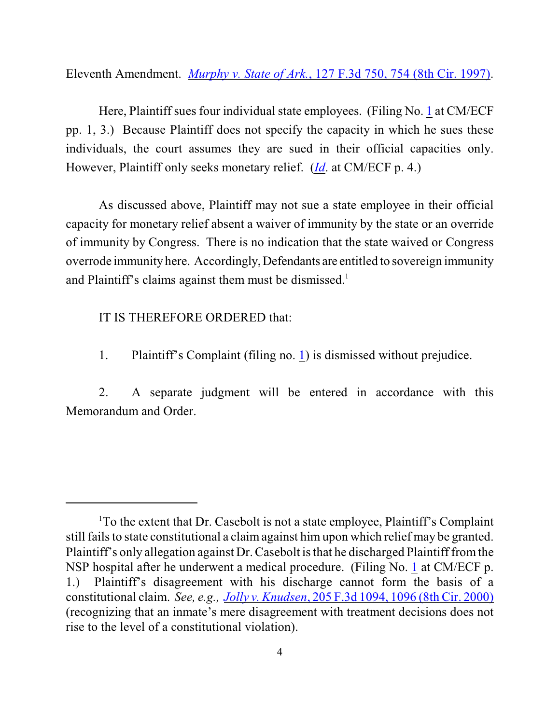Eleventh Amendment. *Murphy v. State of Ark.*[, 127 F.3d 750, 754 \(8th Cir. 1997\)](http://www.westlaw.com/find/default.wl?rs=CLWP3.0&vr=2.0&cite=127+F.3d+750).

Here, Plaintiff sues four individual state employees. (Filing No. [1](http://ecf.ned.uscourts.gov/doc1/11301967428) at CM/ECF pp. 1, 3.) Because Plaintiff does not specify the capacity in which he sues these individuals, the court assumes they are sued in their official capacities only. However, Plaintiff only seeks monetary relief. (*[Id](https://ecf.ned.uscourts.gov/doc1/11301967428)*. at CM/ECF p. 4.)

As discussed above, Plaintiff may not sue a state employee in their official capacity for monetary relief absent a waiver of immunity by the state or an override of immunity by Congress. There is no indication that the state waived or Congress overrode immunity here. Accordingly, Defendants are entitled to sovereign immunity and Plaintiff's claims against them must be dismissed.<sup>1</sup>

## IT IS THEREFORE ORDERED that:

1. Plaintiff's Complaint (filing no. [1](http://ecf.ned.uscourts.gov/doc1/11301967428)) is dismissed without prejudice.

2. A separate judgment will be entered in accordance with this Memorandum and Order.

<sup>&</sup>lt;sup>1</sup>To the extent that Dr. Casebolt is not a state employee, Plaintiff's Complaint still fails to state constitutional a claim against him upon which relief may be granted. Plaintiff's only allegation against Dr. Casebolt is that he discharged Plaintiff from the NSP hospital after he underwent a medical procedure. (Filing No. [1](https://ecf.ned.uscourts.gov/doc1/11301967428) at CM/ECF p. 1.) Plaintiff's disagreement with his discharge cannot form the basis of a constitutional claim. *See, e.g., Jolly v. Knudsen*, [205 F.3d 1094, 1096 \(8th Cir. 2000\)](http://web2.westlaw.com/find/default.wl?rs=WLW10.01&ifm=NotSet&fn=_top&sv=Split&cite=205+F.3d+1096&vr=2.0&rp=%2ffind%2fdefault.wl&mt=26) (recognizing that an inmate's mere disagreement with treatment decisions does not rise to the level of a constitutional violation).